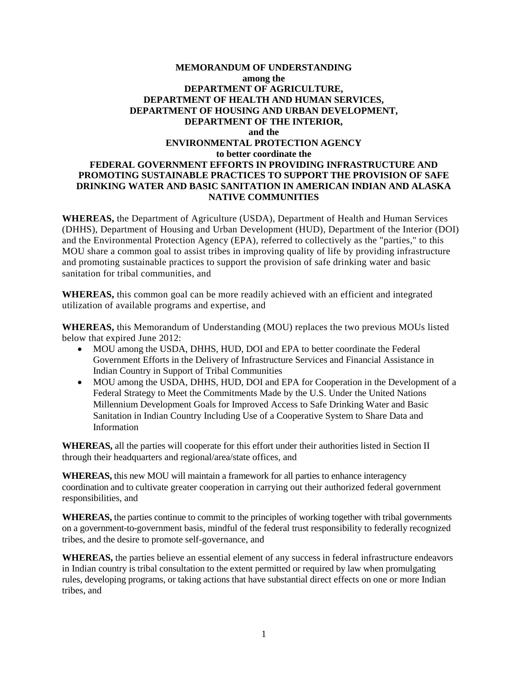# **MEMORANDUM OF UNDERSTANDING among the DEPARTMENT OF AGRICULTURE, DEPARTMENT OF HEALTH AND HUMAN SERVICES, DEPARTMENT OF HOUSING AND URBAN DEVELOPMENT, DEPARTMENT OF THE INTERIOR, and the ENVIRONMENTAL PROTECTION AGENCY to better coordinate the FEDERAL GOVERNMENT EFFORTS IN PROVIDING INFRASTRUCTURE AND PROMOTING SUSTAINABLE PRACTICES TO SUPPORT THE PROVISION OF SAFE DRINKING WATER AND BASIC SANITATION IN AMERICAN INDIAN AND ALASKA NATIVE COMMUNITIES**

 **WHEREAS,** the Department of Agriculture (USDA), Department of Health and Human Services (DHHS), Department of Housing and Urban Development (HUD), Department of the Interior (DOI) and promoting sustainable practices to support the provision of safe drinking water and basic and the Environmental Protection Agency (EPA), referred to collectively as the "parties," to this MOU share a common goal to assist tribes in improving quality of life by providing infrastructure sanitation for tribal communities, and

 **WHEREAS,** this common goal can be more readily achieved with an efficient and integrated utilization of available programs and expertise, and

 **WHEREAS,** this Memorandum of Understanding (MOU) replaces the two previous MOUs listed below that expired June 2012:

- MOU among the USDA, DHHS, HUD, DOI and EPA to better coordinate the Federal Indian Country in Support of Tribal Communities Government Efforts in the Delivery of Infrastructure Services and Financial Assistance in
- MOU among the USDA, DHHS, HUD, DOI and EPA for Cooperation in the Development of a Federal Strategy to Meet the Commitments Made by the U.S. Under the United Nations Millennium Development Goals for Improved Access to Safe Drinking Water and Basic Sanitation in Indian Country Including Use of a Cooperative System to Share Data and Information

**WHEREAS,** all the parties will cooperate for this effort under their authorities listed in Section II through their headquarters and regional/area/state offices, and

 **WHEREAS,** this new MOU will maintain a framework for all parties to enhance interagency coordination and to cultivate greater cooperation in carrying out their authorized federal government responsibilities, and

 **WHEREAS,** the parties continue to commit to the principles of working together with tribal governments on a government-to-government basis, mindful of the federal trust responsibility to federally recognized tribes, and the desire to promote self-governance, and

**WHEREAS,** the parties believe an essential element of any success in federal infrastructure endeavors in Indian country is tribal consultation to the extent permitted or required by law when promulgating rules, developing programs, or taking actions that have substantial direct effects on one or more Indian tribes, and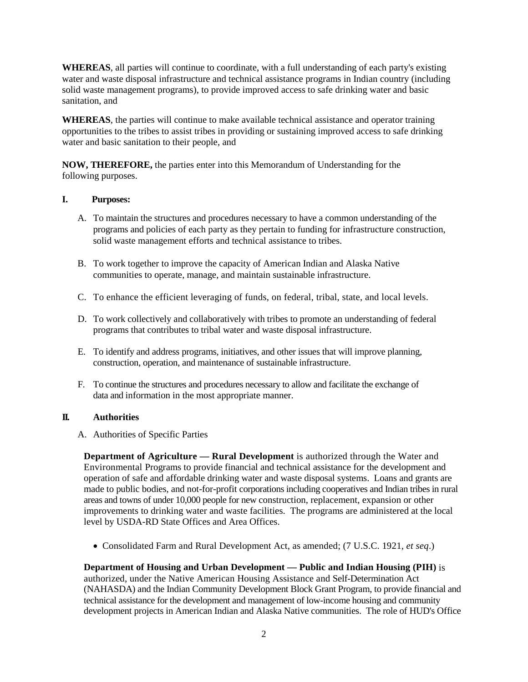**WHEREAS**, all parties will continue to coordinate, with a full understanding of each party's existing water and waste disposal infrastructure and technical assistance programs in Indian country (including solid waste management programs), to provide improved access to safe drinking water and basic sanitation, and

 opportunities to the tribes to assist tribes in providing or sustaining improved access to safe drinking **WHEREAS**, the parties will continue to make available technical assistance and operator training water and basic sanitation to their people, and

 **NOW, THEREFORE,** the parties enter into this Memorandum of Understanding for the following purposes.

### **1**. **I. Purposes:**

- programs and policies of each party as they pertain to funding for infrastructure construction, A. To maintain the structures and procedures necessary to have a common understanding of the solid waste management efforts and technical assistance to tribes.
- B. To work together to improve the capacity of American Indian and Alaska Native communities to operate, manage, and maintain sustainable infrastructure.
- C. To enhance the efficient leveraging of funds, on federal, tribal, state, and local levels.
- programs that contributes to tribal water and waste disposal infrastructure. D. To work collectively and collaboratively with tribes to promote an understanding of federal
- E. To identify and address programs, initiatives, and other issues that will improve planning, construction, operation, and maintenance of sustainable infrastructure.
- F. To continue the structures and procedures necessary to allow and facilitate the exchange of data and information in the most appropriate manner.

# **II. Authorities**

A. Authorities of Specific Parties

 operation of safe and affordable drinking water and waste disposal systems. Loans and grants are areas and towns of under 10,000 people for new construction, replacement, expansion or other improvements to drinking water and waste facilities. The programs are administered at the local **Department of Agriculture — Rural Development** is authorized through the Water and Environmental Programs to provide financial and technical assistance for the development and made to public bodies, and not-for-profit corporations including cooperatives and Indian tribes in rural level by USDA-RD State Offices and Area Offices.

• Consolidated Farm and Rural Development Act, as amended; (7 U.S.C. 1921, *et seq*.)

# **Department of Housing and Urban Development — Public and Indian Housing (PIH)** is

 authorized, under the Native American Housing Assistance and Self-Determination Act (NAHASDA) and the Indian Community Development Block Grant Program, to provide financial and technical assistance for the development and management of low-income housing and community development projects in American Indian and Alaska Native communities. The role of HUD's Office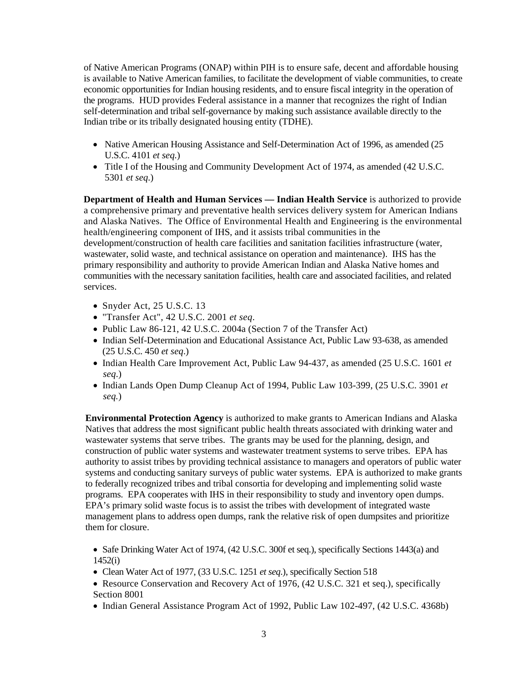is available to Native American families, to facilitate the development of viable communities, to create the programs. HUD provides Federal assistance in a manner that recognizes the right of Indian of Native American Programs (ONAP) within PIH is to ensure safe, decent and affordable housing economic opportunities for Indian housing residents, and to ensure fiscal integrity in the operation of self-determination and tribal self-governance by making such assistance available directly to the Indian tribe or its tribally designated housing entity (TDHE).

- Native American Housing Assistance and Self-Determination Act of 1996, as amended (25) U.S.C. 4101 *et seq.*)
- Title I of the Housing and Community Development Act of 1974, as amended (42 U.S.C. 5301 *et seq*.)

 health/engineering component of IHS, and it assists tribal communities in the wastewater, solid waste, and technical assistance on operation and maintenance). IHS has the communities with the necessary sanitation facilities, health care and associated facilities, and related **Department of Health and Human Services — Indian Health Service** is authorized to provide a comprehensive primary and preventative health services delivery system for American Indians and Alaska Natives. The Office of Environmental Health and Engineering is the environmental development/construction of health care facilities and sanitation facilities infrastructure (water, primary responsibility and authority to provide American Indian and Alaska Native homes and services.

- Snyder Act, 25 U.S.C. 13
- • "Transfer Act", 42 U.S.C. 2001 *et seq*.
- Public Law 86-121, 42 U.S.C. 2004a (Section 7 of the Transfer Act)
- Indian Self-Determination and Educational Assistance Act, Public Law 93-638, as amended (25 U.S.C. 450 *et seq*.)
- Indian Health Care Improvement Act, Public Law 94-437, as amended (25 U.S.C. 1601 *et seq*.)
- • Indian Lands Open Dump Cleanup Act of 1994, Public Law 103-399, (25 U.S.C. 3901 *et seq.*)

 **Environmental Protection Agency** is authorized to make grants to American Indians and Alaska Natives that address the most significant public health threats associated with drinking water and wastewater systems that serve tribes. The grants may be used for the planning, design, and construction of public water systems and wastewater treatment systems to serve tribes. EPA has programs. EPA cooperates with IHS in their responsibility to study and inventory open dumps. them for closure. authority to assist tribes by providing technical assistance to managers and operators of public water systems and conducting sanitary surveys of public water systems. EPA is authorized to make grants to federally recognized tribes and tribal consortia for developing and implementing solid waste EPA's primary solid waste focus is to assist the tribes with development of integrated waste management plans to address open dumps, rank the relative risk of open dumpsites and prioritize

 • Safe Drinking Water Act of 1974, (42 U.S.C. 300f et seq.), specifically Sections 1443(a) and 1452(i)

- Clean Water Act of 1977, (33 U.S.C. 1251 *et seq.*), specifically Section 518
- Resource Conservation and Recovery Act of 1976, (42 U.S.C. 321 et seq.), specifically Section 8001
- Indian General Assistance Program Act of 1992, Public Law 102-497, (42 U.S.C. 4368b)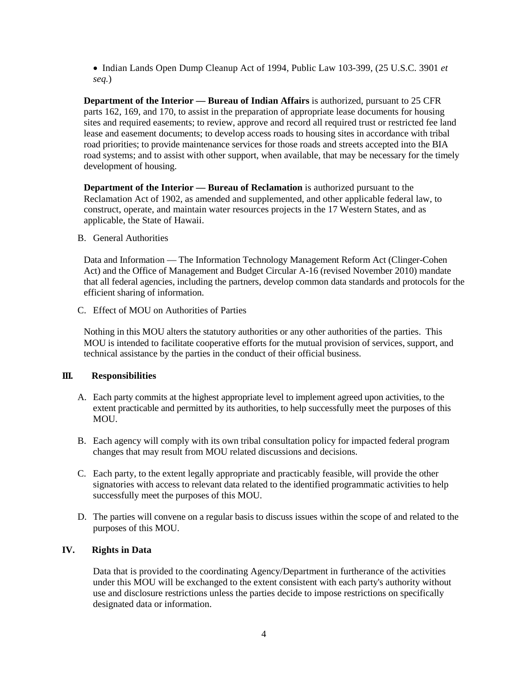• Indian Lands Open Dump Cleanup Act of 1994, Public Law 103-399, (25 U.S.C. 3901 *et seq.*)

 sites and required easements; to review, approve and record all required trust or restricted fee land lease and easement documents; to develop access roads to housing sites in accordance with tribal road systems; and to assist with other support, when available, that may be necessary for the timely **Department of the Interior — Bureau of Indian Affairs** is authorized, pursuant to 25 CFR parts 162, 169, and 170, to assist in the preparation of appropriate lease documents for housing road priorities; to provide maintenance services for those roads and streets accepted into the BIA development of housing.

 construct, operate, and maintain water resources projects in the 17 Western States, and as **Department of the Interior — Bureau of Reclamation** is authorized pursuant to the Reclamation Act of 1902, as amended and supplemented, and other applicable federal law, to applicable, the State of Hawaii.

B. General Authorities

Data and Information — The Information Technology Management Reform Act (Clinger-Cohen Act) and the Office of Management and Budget Circular A-16 (revised November 2010) mandate that all federal agencies, including the partners, develop common data standards and protocols for the efficient sharing of information.

C. Effect of MOU on Authorities of Parties

Nothing in this MOU alters the statutory authorities or any other authorities of the parties. This MOU is intended to facilitate cooperative efforts for the mutual provision of services, support, and technical assistance by the parties in the conduct of their official business.

# **III. Responsibilities**

- A. Each party commits at the highest appropriate level to implement agreed upon activities, to the extent practicable and permitted by its authorities, to help successfully meet the purposes of this MOU.
- changes that may result from MOU related discussions and decisions. B. Each agency will comply with its own tribal consultation policy for impacted federal program
- C. Each party, to the extent legally appropriate and practicably feasible, will provide the other signatories with access to relevant data related to the identified programmatic activities to help successfully meet the purposes of this MOU.
- D. The parties will convene on a regular basis to discuss issues within the scope of and related to the purposes of this MOU.

# **IV. Rights in Data**

Data that is provided to the coordinating Agency/Department in furtherance of the activities under this MOU will be exchanged to the extent consistent with each party's authority without use and disclosure restrictions unless the parties decide to impose restrictions on specifically designated data or information.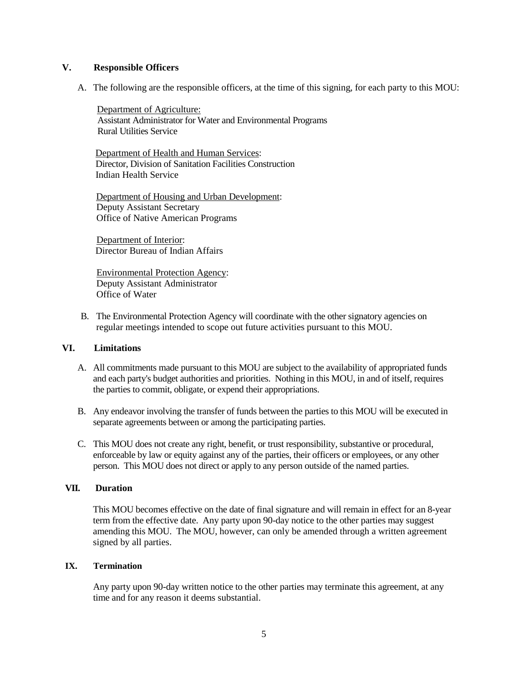#### **V**. **V. Responsible Officers**

A. The following are the responsible officers, at the time of this signing, for each party to this MOU:

Department of Agriculture: Assistant Administrator for Water and Environmental Programs Rural Utilities Service

Department of Health and Human Services: Director, Division of Sanitation Facilities Construction Indian Health Service

Department of Housing and Urban Development: Deputy Assistant Secretary Office of Native American Programs

Department of Interior: Director Bureau of Indian Affairs

Environmental Protection Agency: Deputy Assistant Administrator Office of Water

B. The Environmental Protection Agency will coordinate with the other signatory agencies on regular meetings intended to scope out future activities pursuant to this MOU.

# **VI. Limitations**

- A. All commitments made pursuant to this MOU are subject to the availability of appropriated funds and each party's budget authorities and priorities. Nothing in this MOU, in and of itself, requires the parties to commit, obligate, or expend their appropriations.
- B. Any endeavor involving the transfer of funds between the parties to this MOU will be executed in separate agreements between or among the participating parties.
- C. This MOU does not create any right, benefit, or trust responsibility, substantive or procedural, enforceable by law or equity against any of the parties, their officers or employees, or any other person. This MOU does not direct or apply to any person outside of the named parties.

# **VII. Duration**

 This MOU becomes effective on the date of final signature and will remain in effect for an 8-year term from the effective date. Any party upon 90-day notice to the other parties may suggest amending this MOU. The MOU, however, can only be amended through a written agreement signed by all parties.

#### **IX. Termination**

Any party upon 90-day written notice to the other parties may terminate this agreement, at any time and for any reason it deems substantial.